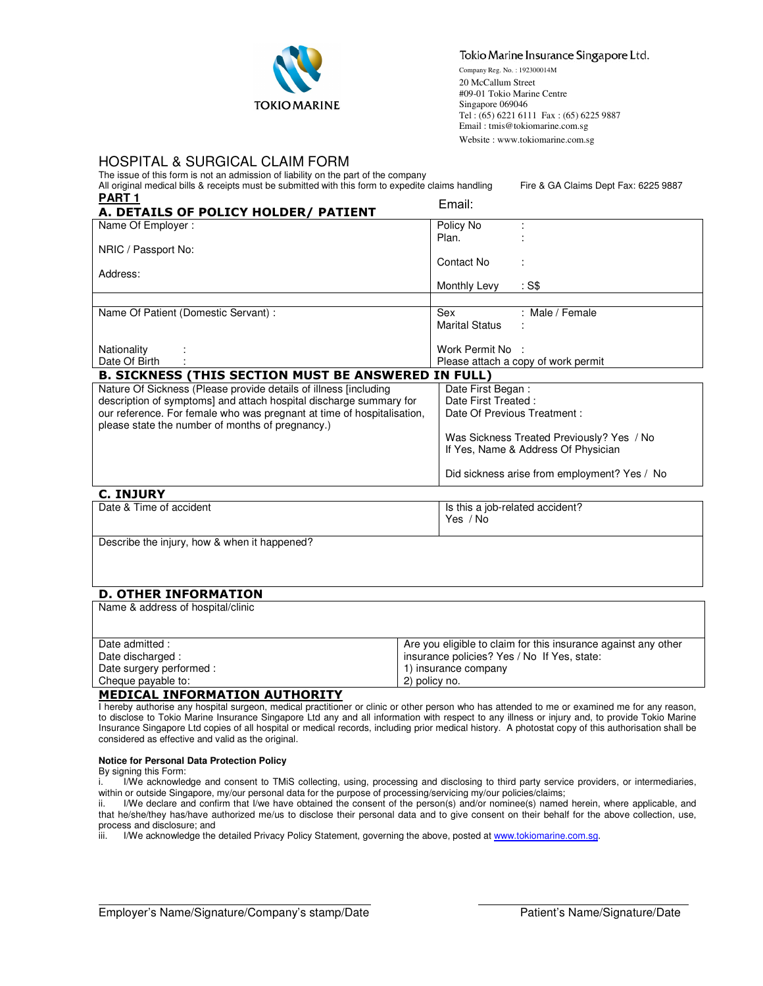

#### Tokio Marine Insurance Singapore Ltd.

Company Reg. No. : 192300014M 20 McCallum Street #09-01 Tokio Marine Centre Singapore 069046 Tel : (65) 6221 6111 Fax : (65) 6225 9887 Email : tmis@tokiomarine.com.sg Website : www.tokiomarine.com.sg

# HOSPITAL & SURGICAL CLAIM FORM

The issue of this form is not an admission of liability on the part of the company All original medical bills & receipts must be submitted with this form to expedite claims handling Fire & GA Claims Dept Fax: 6225 9887 **PART 1** 

| .<br>A. DETAILS OF POLICY HOLDER/ PATIENT                              | Email:                                       |  |  |  |
|------------------------------------------------------------------------|----------------------------------------------|--|--|--|
| Name Of Employer:                                                      | Policy No                                    |  |  |  |
|                                                                        | Plan.                                        |  |  |  |
| NRIC / Passport No:                                                    |                                              |  |  |  |
|                                                                        | Contact No                                   |  |  |  |
| Address:                                                               |                                              |  |  |  |
|                                                                        | Monthly Levy<br>: S\$                        |  |  |  |
|                                                                        |                                              |  |  |  |
| Name Of Patient (Domestic Servant) :                                   | Sex<br>: Male / Female                       |  |  |  |
|                                                                        | <b>Marital Status</b>                        |  |  |  |
|                                                                        |                                              |  |  |  |
| Nationality                                                            | Work Permit No :                             |  |  |  |
| Date Of Birth                                                          | Please attach a copy of work permit          |  |  |  |
| <b>B. SICKNESS (THIS SECTION MUST BE ANSWERED IN FULL)</b>             |                                              |  |  |  |
| Nature Of Sickness (Please provide details of illness [including]      | Date First Began:                            |  |  |  |
| description of symptoms] and attach hospital discharge summary for     | Date First Treated:                          |  |  |  |
| our reference. For female who was pregnant at time of hospitalisation, | Date Of Previous Treatment :                 |  |  |  |
| please state the number of months of pregnancy.)                       |                                              |  |  |  |
|                                                                        | Was Sickness Treated Previously? Yes / No    |  |  |  |
|                                                                        | If Yes, Name & Address Of Physician          |  |  |  |
|                                                                        |                                              |  |  |  |
|                                                                        | Did sickness arise from employment? Yes / No |  |  |  |

### C. INJURY

| .                       |                                 |
|-------------------------|---------------------------------|
| Date & Time of accident | Is this a job-related accident? |
|                         | ' No<br>Yes                     |
|                         |                                 |

Describe the injury, how & when it happened?

# D. OTHER INFORMATION

Name & address of hospital/clinic Date admitted : Date discharged : Date surgery performed : Cheque payable to: Are you eligible to claim for this insurance against any other insurance policies? Yes / No If Yes, state: 1) insurance company 2) policy no.

#### MEDICAL INFORMATION AUTHORITY

I hereby authorise any hospital surgeon, medical practitioner or clinic or other person who has attended to me or examined me for any reason, to disclose to Tokio Marine Insurance Singapore Ltd any and all information with respect to any illness or injury and, to provide Tokio Marine Insurance Singapore Ltd copies of all hospital or medical records, including prior medical history. A photostat copy of this authorisation shall be considered as effective and valid as the original.

#### **Notice for Personal Data Protection Policy**

By signing this Form:

 $\overline{\phantom{a}}$ 

i. I/We acknowledge and consent to TMiS collecting, using, processing and disclosing to third party service providers, or intermediaries, within or outside Singapore, my/our personal data for the purpose of processing/servicing my/our policies/claims;<br>ii. IWe declare and confirm that I/we have obtained the consent of the person(s) and/or nominee(s) named

I/We declare and confirm that I/we have obtained the consent of the person(s) and/or nominee(s) named herein, where applicable, and that he/she/they has/have authorized me/us to disclose their personal data and to give consent on their behalf for the above collection, use, process and disclosure; and

iii. I/We acknowledge the detailed Privacy Policy Statement, governing the above, posted at www.tokiomarine.com.sg.